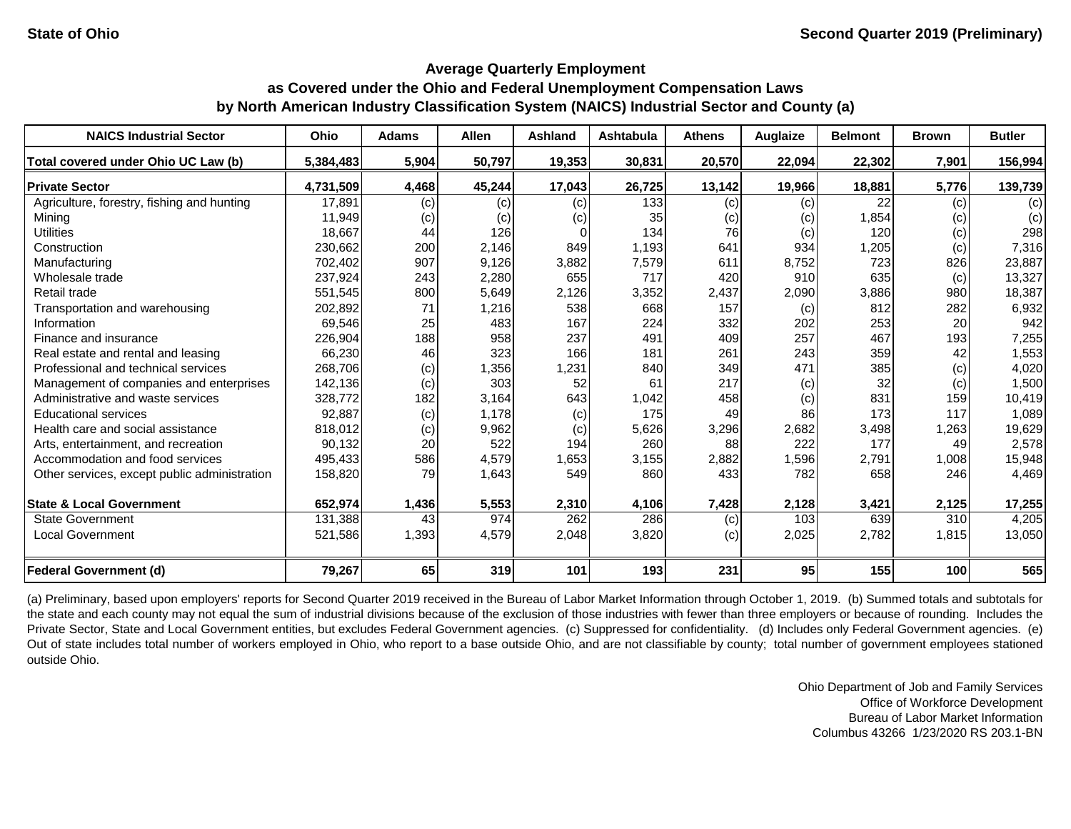#### **Average Quarterly Employment**

# **as Covered under the Ohio and Federal Unemployment Compensation Laws by North American Industry Classification System (NAICS) Industrial Sector and County (a)**

| <b>NAICS Industrial Sector</b>               | Ohio      | <b>Adams</b> | <b>Allen</b> | <b>Ashland</b> | Ashtabula | <b>Athens</b> | Auglaize | <b>Belmont</b> | <b>Brown</b> | <b>Butler</b> |
|----------------------------------------------|-----------|--------------|--------------|----------------|-----------|---------------|----------|----------------|--------------|---------------|
| Total covered under Ohio UC Law (b)          | 5,384,483 | 5,904        | 50,797       | 19,353         | 30,831    | 20,570        | 22,094   | 22,302         | 7,901        | 156,994       |
| <b>Private Sector</b>                        | 4,731,509 | 4,468        | 45,244       | 17,043         | 26,725    | 13,142        | 19,966   | 18,881         | 5,776        | 139,739       |
| Agriculture, forestry, fishing and hunting   | 17,891    | (c)          | (c)          | (c)            | 133       | (c)           | (c)      | 22             | (c)          | (c)           |
| Mining                                       | 11,949    | (c)          | (c)          | (c)            | 35        | (c)           | (c)      | 1,854          | (c)          | (c)           |
| <b>Utilities</b>                             | 18,667    | 44           | 126          |                | 134       | 76            | (c)      | 120            | (c)          | 298           |
| Construction                                 | 230,662   | 200          | 2,146        | 849            | 1,193     | 641           | 934      | 1,205          | (c)          | 7,316         |
| Manufacturing                                | 702,402   | 907          | 9,126        | 3,882          | 7,579     | 611           | 8,752    | 723            | 826          | 23,887        |
| Wholesale trade                              | 237,924   | 243          | 2,280        | 655            | 717       | 420           | 910      | 635            | (c)          | 13,327        |
| Retail trade                                 | 551,545   | 800          | 5,649        | 2,126          | 3,352     | 2,437         | 2,090    | 3,886          | 980          | 18,387        |
| Transportation and warehousing               | 202,892   | 71           | 1,216        | 538            | 668       | 157           | (c)      | 812            | 282          | 6,932         |
| Information                                  | 69,546    | 25           | 483          | 167            | 224       | 332           | 202      | 253            | 20           | 942           |
| Finance and insurance                        | 226,904   | 188          | 958          | 237            | 491       | 409           | 257      | 467            | 193          | 7,255         |
| Real estate and rental and leasing           | 66,230    | 46           | 323          | 166            | 181       | 261           | 243      | 359            | 42           | 1,553         |
| Professional and technical services          | 268,706   | (c)          | 1,356        | 1,231          | 840       | 349           | 471      | 385            | (c)          | 4,020         |
| Management of companies and enterprises      | 142,136   | (c)          | 303          | 52             | 61        | 217           | (c)      | 32             | (c)          | 1,500         |
| Administrative and waste services            | 328,772   | 182          | 3,164        | 643            | 1,042     | 458           | (c)      | 831            | 159          | 10,419        |
| <b>Educational services</b>                  | 92,887    | (c)          | 1,178        | (c)            | 175       | 49            | 86       | 173            | 117          | 1,089         |
| Health care and social assistance            | 818,012   | (c)          | 9,962        | (c)            | 5,626     | 3,296         | 2,682    | 3,498          | 1,263        | 19,629        |
| Arts, entertainment, and recreation          | 90,132    | 20           | 522          | 194            | 260       | 88            | 222      | 177            | 49           | 2,578         |
| Accommodation and food services              | 495,433   | 586          | 4,579        | 1,653          | 3,155     | 2,882         | 1,596    | 2,791          | 1,008        | 15,948        |
| Other services, except public administration | 158,820   | 79           | 1,643        | 549            | 860       | 433           | 782      | 658            | 246          | 4,469         |
| <b>State &amp; Local Government</b>          | 652,974   | 1,436        | 5,553        | 2,310          | 4,106     | 7,428         | 2,128    | 3,421          | 2,125        | 17,255        |
| <b>State Government</b>                      | 131,388   | 43           | 974          | 262            | 286       | (c)           | 103      | 639            | 310          | 4,205         |
| <b>Local Government</b>                      | 521,586   | 1,393        | 4,579        | 2,048          | 3,820     | (c)           | 2,025    | 2,782          | 1,815        | 13,050        |
| <b>Federal Government (d)</b>                | 79,267    | 65           | 319          | 101            | 193       | 231           | 95       | 155            | 100          | 565           |

(a) Preliminary, based upon employers' reports for Second Quarter 2019 received in the Bureau of Labor Market Information through October 1, 2019. (b) Summed totals and subtotals for the state and each county may not equal the sum of industrial divisions because of the exclusion of those industries with fewer than three employers or because of rounding. Includes the Private Sector, State and Local Government entities, but excludes Federal Government agencies. (c) Suppressed for confidentiality. (d) Includes only Federal Government agencies. (e) Out of state includes total number of workers employed in Ohio, who report to a base outside Ohio, and are not classifiable by county; total number of government employees stationed outside Ohio.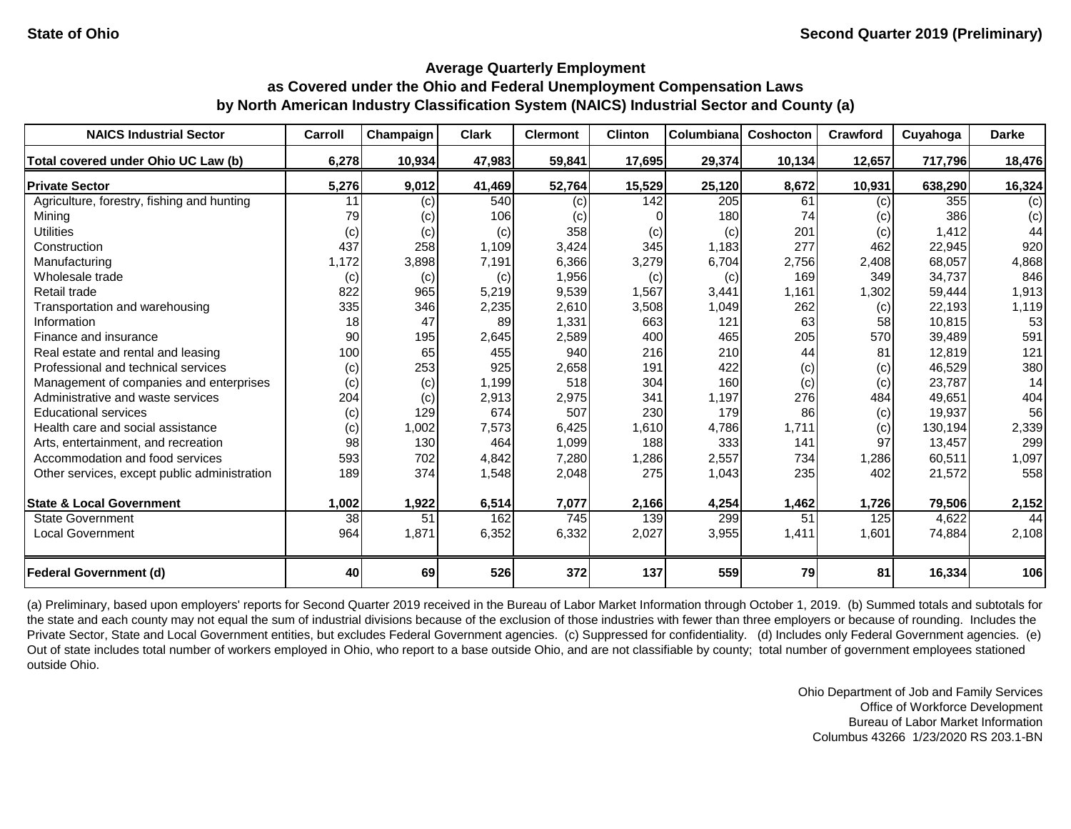| <b>NAICS Industrial Sector</b>               | Carroll | Champaign | <b>Clark</b> | <b>Clermont</b> | <b>Clinton</b> | Columbiana       | Coshocton | Crawford | Cuyahoga | <b>Darke</b> |
|----------------------------------------------|---------|-----------|--------------|-----------------|----------------|------------------|-----------|----------|----------|--------------|
| Total covered under Ohio UC Law (b)          | 6,278   | 10,934    | 47,983       | 59,841          | 17,695         | 29,374           | 10,134    | 12,657   | 717,796  | 18,476       |
| <b>Private Sector</b>                        | 5,276   | 9,012     | 41,469       | 52,764          | 15,529         | 25,120           | 8,672     | 10,931   | 638,290  | 16,324       |
| Agriculture, forestry, fishing and hunting   | 11      | (c)       | 540          | (c)             | 142            | $\overline{205}$ | 61        | (c)      | 355      | (c)          |
| Mining                                       | 79      | (c)       | 106          | (C)             |                | 180              | 74        | (c)      | 386      | (c)          |
| <b>Utilities</b>                             | (c)     | (c)       | (c)          | 358             | (c)            | (c)              | 201       | (c)      | 1,412    | 44           |
| Construction                                 | 437     | 258       | 1,109        | 3,424           | 345            | 1,183            | 277       | 462      | 22,945   | 920          |
| Manufacturing                                | 1,172   | 3,898     | 7,191        | 6,366           | 3,279          | 6,704            | 2,756     | 2,408    | 68,057   | 4,868        |
| Wholesale trade                              | (c)     | (c)       | (c)          | 1,956           | (c)            | (c)              | 169       | 349      | 34,737   | 846          |
| Retail trade                                 | 822     | 965       | 5,219        | 9,539           | 1,567          | 3,441            | 1,161     | 1,302    | 59,444   | 1,913        |
| Transportation and warehousing               | 335     | 346       | 2,235        | 2,610           | 3,508          | 1,049            | 262       | (c)      | 22,193   | 1,119        |
| Information                                  | 18      | 47        | 89           | 1,331           | 663            | 121              | 63        | 58       | 10,815   | 53           |
| Finance and insurance                        | 90      | 195       | 2,645        | 2,589           | 400            | 465              | 205       | 570      | 39,489   | 591          |
| Real estate and rental and leasing           | 100     | 65        | 455          | 940             | 216            | 210              | 44        | 81       | 12,819   | 121          |
| Professional and technical services          | (c)     | 253       | 925          | 2,658           | 191            | 422              | (c)       | (c)      | 46,529   | 380          |
| Management of companies and enterprises      | (c)     | (c)       | 1,199        | 518             | 304            | 160              | (c)       | (c)      | 23,787   | 14           |
| Administrative and waste services            | 204     | (c)       | 2,913        | 2,975           | 341            | 1,197            | 276       | 484      | 49,651   | 404          |
| <b>Educational services</b>                  | (c)     | 129       | 674          | 507             | 230            | 179              | 86        | (c)      | 19,937   | 56           |
| Health care and social assistance            | (c)     | 1,002     | 7,573        | 6,425           | 1,610          | 4,786            | 1,711     | (c)      | 130,194  | 2,339        |
| Arts, entertainment, and recreation          | 98      | 130       | 464          | 1,099           | 188            | 333              | 141       | 97       | 13,457   | 299          |
| Accommodation and food services              | 593     | 702       | 4,842        | 7,280           | 1,286          | 2,557            | 734       | 1,286    | 60,511   | 1,097        |
| Other services, except public administration | 189     | 374       | 1,548        | 2,048           | 275            | 1,043            | 235       | 402      | 21,572   | 558          |
| <b>State &amp; Local Government</b>          | 1,002   | 1,922     | 6,514        | 7,077           | 2,166          | 4,254            | 1,462     | 1,726    | 79,506   | 2,152        |
| <b>State Government</b>                      | 38      | 51        | 162          | 745             | 139            | 299              | 51        | 125      | 4,622    | 44           |
| <b>Local Government</b>                      | 964     | 1,871     | 6,352        | 6,332           | 2,027          | 3,955            | 1,411     | 1,601    | 74,884   | 2,108        |
| <b>Federal Government (d)</b>                | 40      | 69        | 526          | 372             | 137            | 559              | 79        | 81       | 16,334   | 106          |

(a) Preliminary, based upon employers' reports for Second Quarter 2019 received in the Bureau of Labor Market Information through October 1, 2019. (b) Summed totals and subtotals for the state and each county may not equal the sum of industrial divisions because of the exclusion of those industries with fewer than three employers or because of rounding. Includes the Private Sector, State and Local Government entities, but excludes Federal Government agencies. (c) Suppressed for confidentiality. (d) Includes only Federal Government agencies. (e) Out of state includes total number of workers employed in Ohio, who report to a base outside Ohio, and are not classifiable by county; total number of government employees stationed outside Ohio.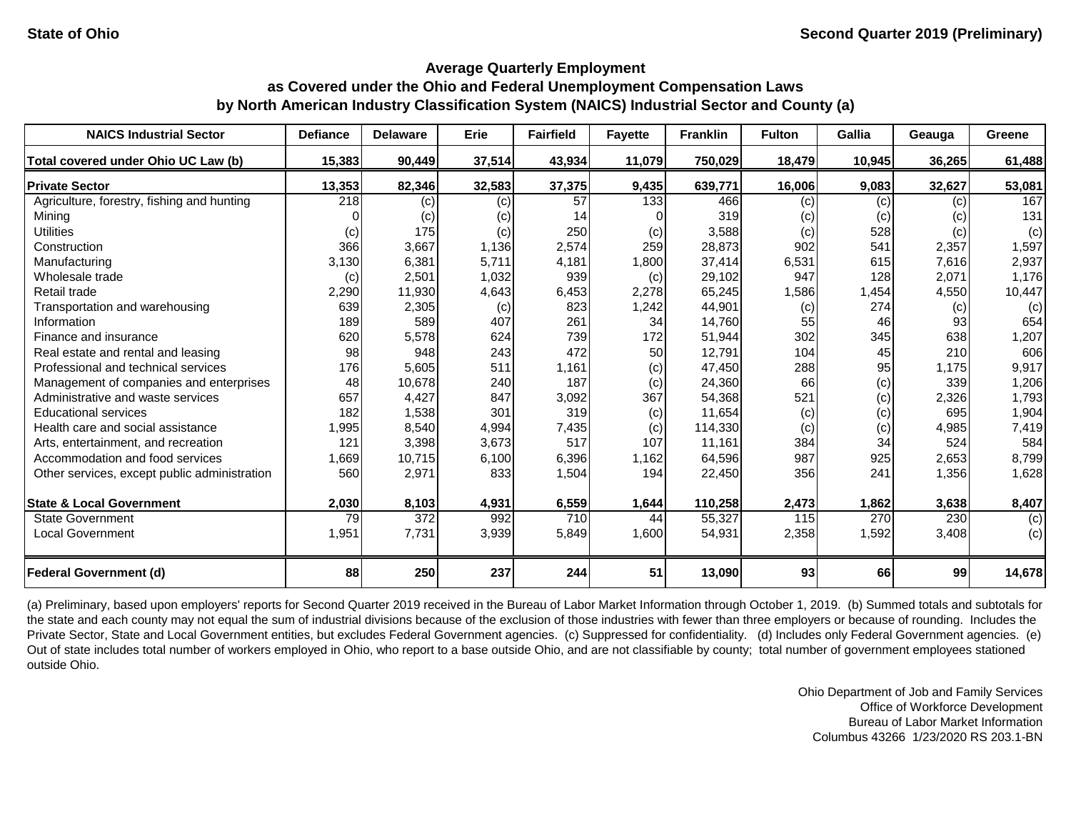| <b>NAICS Industrial Sector</b>               | <b>Defiance</b> | <b>Delaware</b>  | <b>Erie</b> | <b>Fairfield</b> | <b>Fayette</b> | <b>Franklin</b> | <b>Fulton</b> | Gallia    | Geauga | Greene |
|----------------------------------------------|-----------------|------------------|-------------|------------------|----------------|-----------------|---------------|-----------|--------|--------|
| Total covered under Ohio UC Law (b)          | 15,383          | 90,449           | 37,514      | 43,934           | 11,079         | 750,029         | 18,479        | 10,945    | 36,265 | 61,488 |
| <b>Private Sector</b>                        | 13,353          | 82,346           | 32,583      | 37,375           | 9,435          | 639,771         | 16,006        | 9,083     | 32,627 | 53,081 |
| Agriculture, forestry, fishing and hunting   | 218             | (c)              | (c)         | 57               | 133            | 466             | (c)           | (c)       | (c)    | 167    |
| Mining                                       |                 | (c)              | (c)         | 14               |                | 319             | (c)           | (c)       | (c)    | 131    |
| <b>Utilities</b>                             | (c)             | 175              | (c)         | 250              | (c)            | 3,588           | (c)           | 528       | (c)    | (c)    |
| Construction                                 | 366             | 3,667            | 1,136       | 2,574            | 259            | 28,873          | 902           | 541       | 2,357  | 1,597  |
| Manufacturing                                | 3,130           | 6,381            | 5,711       | 4,181            | 1,800          | 37,414          | 6,531         | 615       | 7,616  | 2,937  |
| Wholesale trade                              | (c)             | 2,501            | 1,032       | 939              | (c)            | 29,102          | 947           | 128       | 2,071  | 1,176  |
| Retail trade                                 | 2,290           | 11,930           | 4,643       | 6,453            | 2,278          | 65,245          | 1,586         | 1,454     | 4,550  | 10,447 |
| Transportation and warehousing               | 639             | 2,305            | (c)         | 823              | 1,242          | 44,901          | (c)           | 274       | (c)    | (c)    |
| Information                                  | 189             | 589              | 407         | 261              | 34             | 14,760          | 55            | 46        | 93     | 654    |
| Finance and insurance                        | 620             | 5,578            | 624         | 739              | 172            | 51,944          | 302           | 345       | 638    | 1,207  |
| Real estate and rental and leasing           | 98              | 948              | 243         | 472              | 50             | 12,791          | 104           | 45        | 210    | 606    |
| Professional and technical services          | 176             | 5,605            | 511         | 1,161            | (c)            | 47,450          | 288           | 95        | 1,175  | 9,917  |
| Management of companies and enterprises      | 48              | 10,678           | 240         | 187              | (c)            | 24,360          | 66            | (c)       | 339    | 1,206  |
| Administrative and waste services            | 657             | 4,427            | 847         | 3,092            | 367            | 54,368          | 521           | (c)       | 2,326  | 1,793  |
| <b>Educational services</b>                  | 182             | 1,538            | 301         | 319              | (c)            | 11,654          | (c)           | (c)       | 695    | 1,904  |
| Health care and social assistance            | 1,995           | 8,540            | 4,994       | 7,435            | (c)            | 114,330         | (c)           | (c)       | 4,985  | 7,419  |
| Arts, entertainment, and recreation          | 121             | 3,398            | 3,673       | 517              | 107            | 11,161          | 384           | 34        | 524    | 584    |
| Accommodation and food services              | 1,669           | 10,715           | 6,100       | 6,396            | 1,162          | 64,596          | 987           | 925       | 2,653  | 8,799  |
| Other services, except public administration | 560             | 2,971            | 833         | 1,504            | 194            | 22,450          | 356           | 241       | 1,356  | 1,628  |
| <b>State &amp; Local Government</b>          | 2,030           | 8,103            | 4,931       | 6,559            | 1,644          | 110,258         | 2,473         | 1,862     | 3,638  | 8,407  |
| <b>State Government</b>                      | 79              | $\overline{372}$ | 992         | 710              | 44             | 55,327          | 115           | 270       | 230    | (c)    |
| <b>Local Government</b>                      | 1,951           | 7,731            | 3,939       | 5,849            | 1,600          | 54,931          | 2,358         | 1,592     | 3,408  | (c)    |
| <b>Federal Government (d)</b>                | 88              | 250              | 237         | 244              | 51             | 13,090          | 93            | <b>66</b> | 99     | 14,678 |

(a) Preliminary, based upon employers' reports for Second Quarter 2019 received in the Bureau of Labor Market Information through October 1, 2019. (b) Summed totals and subtotals for the state and each county may not equal the sum of industrial divisions because of the exclusion of those industries with fewer than three employers or because of rounding. Includes the Private Sector, State and Local Government entities, but excludes Federal Government agencies. (c) Suppressed for confidentiality. (d) Includes only Federal Government agencies. (e) Out of state includes total number of workers employed in Ohio, who report to a base outside Ohio, and are not classifiable by county; total number of government employees stationed outside Ohio.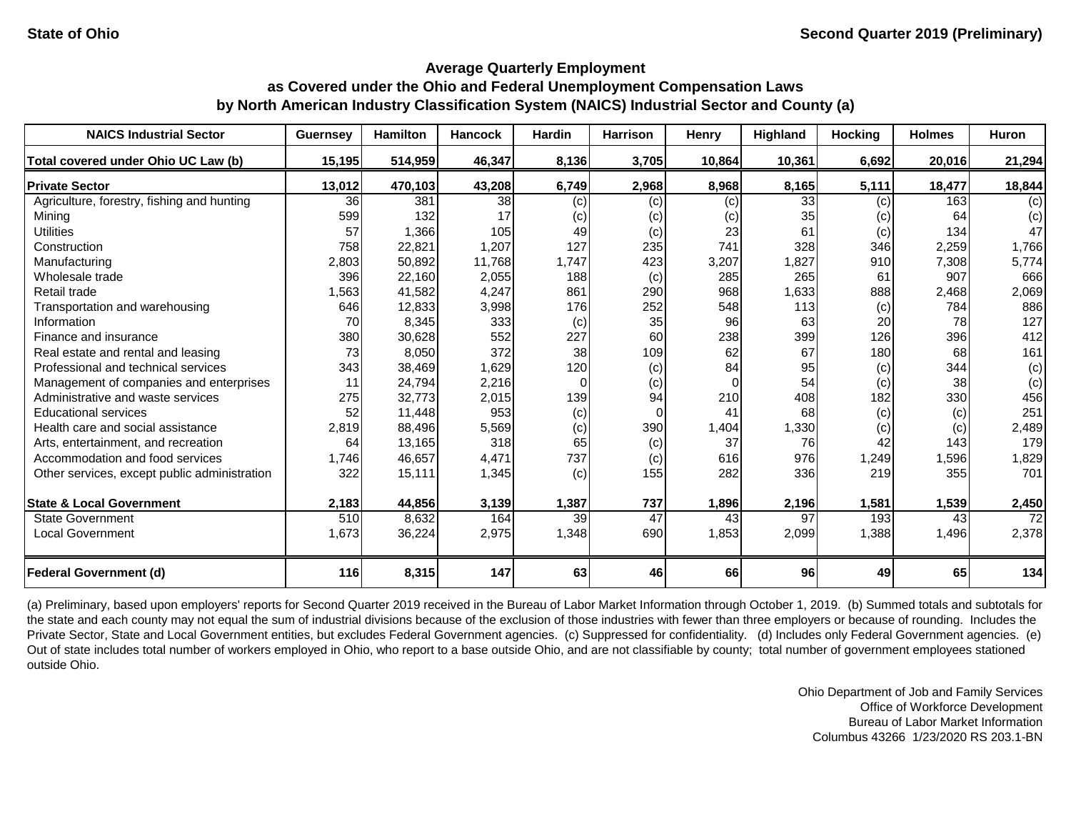| <b>NAICS Industrial Sector</b>               | <b>Guernsey</b> | <b>Hamilton</b> | <b>Hancock</b> | <b>Hardin</b> | <b>Harrison</b> | Henry    | <b>Highland</b> | <b>Hocking</b> | <b>Holmes</b> | <b>Huron</b> |
|----------------------------------------------|-----------------|-----------------|----------------|---------------|-----------------|----------|-----------------|----------------|---------------|--------------|
| Total covered under Ohio UC Law (b)          | 15,195          | 514,959         | 46,347         | 8,136         | 3,705           | 10,864   | 10,361          | 6,692          | 20,016        | 21,294       |
| <b>Private Sector</b>                        | 13,012          | 470,103         | 43,208         | 6,749         | 2,968           | 8,968    | 8,165           | 5,111          | 18,477        | 18,844       |
| Agriculture, forestry, fishing and hunting   | 36              | 381             | 38             | (c)           | (c)             | (c)      | 33              | (c)            | 163           | (c)          |
| Mining                                       | 599             | 132             | 17             | (c)           | (c)             | (c)      | 35              | (c)            | 64            | (c)          |
| <b>Utilities</b>                             | 57              | 1,366           | 105            | 49            | (c)             | 23       | 61              | (c)            | 134           | 47           |
| Construction                                 | 758             | 22,821          | 1,207          | 127           | 235             | 741      | 328             | 346            | 2,259         | 1,766        |
| Manufacturing                                | 2,803           | 50,892          | 11,768         | 1,747         | 423             | 3,207    | 1,827           | 910            | 7,308         | 5,774        |
| Wholesale trade                              | 396             | 22,160          | 2,055          | 188           | (c)             | 285      | 265             | 61             | 907           | 666          |
| Retail trade                                 | 1,563           | 41,582          | 4,247          | 861           | 290             | 968      | 1,633           | 888            | 2,468         | 2,069        |
| Transportation and warehousing               | 646             | 12,833          | 3,998          | 176           | 252             | 548      | 113             | (c)            | 784           | 886          |
| Information                                  | 70              | 8,345           | 333            | (c)           | 35              | 96       | 63              | 20             | 78            | 127          |
| Finance and insurance                        | 380             | 30,628          | 552            | 227           | 60              | 238      | 399             | 126            | 396           | 412          |
| Real estate and rental and leasing           | 73              | 8,050           | 372            | 38            | 109             | 62       | 67              | 180            | 68            | 161          |
| Professional and technical services          | 343             | 38,469          | 1,629          | 120           | (c)             | 84       | 95              | (c)            | 344           | (c)          |
| Management of companies and enterprises      | 11              | 24,794          | 2,216          | 0             | (c)             | $\Omega$ | 54              | (c)            | 38            | (c)          |
| Administrative and waste services            | 275             | 32,773          | 2,015          | 139           | 94              | 210      | 408             | 182            | 330           | 456          |
| <b>Educational services</b>                  | 52              | 11,448          | 953            | (c)           | $\Omega$        | 41       | 68              | (c)            | (c)           | 251          |
| Health care and social assistance            | 2,819           | 88,496          | 5,569          | (c)           | 390             | 1,404    | 1,330           | (c)            | (c)           | 2,489        |
| Arts, entertainment, and recreation          | 64              | 13,165          | 318            | 65            | (c)             | 37       | 76              | 42             | 143           | 179          |
| Accommodation and food services              | 1,746           | 46,657          | 4,471          | 737           | (c)             | 616      | 976             | 1,249          | 1,596         | 1,829        |
| Other services, except public administration | 322             | 15,111          | 1,345          | (c)           | 155             | 282      | 336             | 219            | 355           | 701          |
| <b>State &amp; Local Government</b>          | 2,183           | 44,856          | 3,139          | 1,387         | 737             | 1,896    | 2,196           | 1,581          | 1,539         | 2,450        |
| <b>State Government</b>                      | 510             | 8,632           | 164            | 39            | 47              | 43       | 97              | 193            | 43            | 72           |
| <b>Local Government</b>                      | 1,673           | 36,224          | 2,975          | 1,348         | 690             | 1,853    | 2,099           | 1,388          | 1,496         | 2,378        |
| <b>Federal Government (d)</b>                | 116             | 8,315           | 147            | 63            | 46              | 66       | 96              | 49             | 65            | 134          |

(a) Preliminary, based upon employers' reports for Second Quarter 2019 received in the Bureau of Labor Market Information through October 1, 2019. (b) Summed totals and subtotals for the state and each county may not equal the sum of industrial divisions because of the exclusion of those industries with fewer than three employers or because of rounding. Includes the Private Sector, State and Local Government entities, but excludes Federal Government agencies. (c) Suppressed for confidentiality. (d) Includes only Federal Government agencies. (e) Out of state includes total number of workers employed in Ohio, who report to a base outside Ohio, and are not classifiable by county; total number of government employees stationed outside Ohio.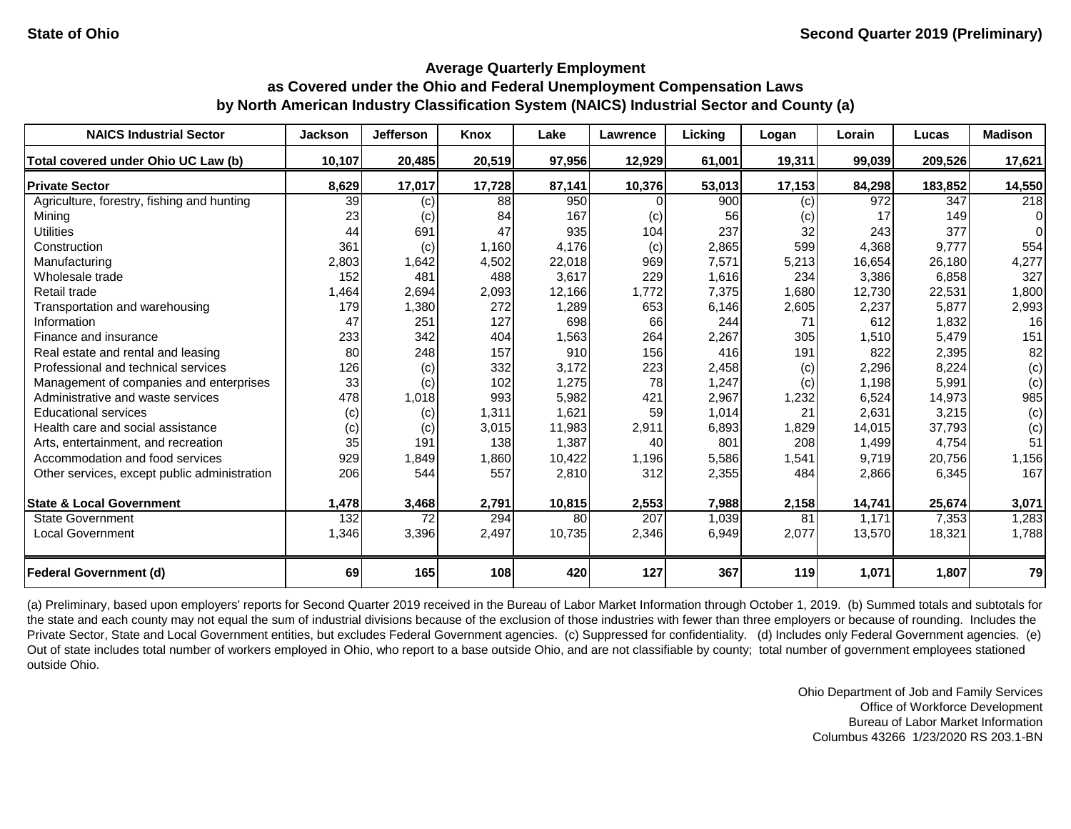| <b>NAICS Industrial Sector</b>               | <b>Jackson</b> | <b>Jefferson</b> | <b>Knox</b> | Lake   | <b>Lawrence</b> | Licking | Logan  | Lorain | Lucas   | <b>Madison</b> |
|----------------------------------------------|----------------|------------------|-------------|--------|-----------------|---------|--------|--------|---------|----------------|
| Total covered under Ohio UC Law (b)          | 10,107         | 20,485           | 20,519      | 97,956 | 12,929          | 61,001  | 19,311 | 99,039 | 209,526 | 17,621         |
| <b>Private Sector</b>                        | 8,629          | 17,017           | 17,728      | 87,141 | 10,376          | 53,013  | 17,153 | 84,298 | 183,852 | 14,550         |
| Agriculture, forestry, fishing and hunting   | 39             | (c)              | 88          | 950    |                 | 900     | (c)    | 972    | 347     | 218            |
| Mining                                       | 23             | (c)              | 84          | 167    | (c)             | 56      | (c)    | 17     | 149     | $\Omega$       |
| <b>Utilities</b>                             | 44             | 691              | 47          | 935    | 104             | 237     | 32     | 243    | 377     | $\Omega$       |
| Construction                                 | 361            | (c)              | 1,160       | 4,176  | (c)             | 2,865   | 599    | 4,368  | 9,777   | 554            |
| Manufacturing                                | 2,803          | 1,642            | 4,502       | 22,018 | 969             | 7,571   | 5,213  | 16,654 | 26,180  | 4,277          |
| Wholesale trade                              | 152            | 481              | 488         | 3,617  | 229             | 1,616   | 234    | 3,386  | 6,858   | 327            |
| Retail trade                                 | 1,464          | 2,694            | 2,093       | 12,166 | 1,772           | 7,375   | 1,680  | 12,730 | 22,531  | 1,800          |
| Transportation and warehousing               | 179            | 1,380            | 272         | 1,289  | 653             | 6,146   | 2,605  | 2,237  | 5,877   | 2,993          |
| Information                                  | 47             | 251              | 127         | 698    | 66              | 244     | 71     | 612    | 1,832   | 16             |
| Finance and insurance                        | 233            | 342              | 404         | 1,563  | 264             | 2,267   | 305    | 1,510  | 5,479   | 151            |
| Real estate and rental and leasing           | 80             | 248              | 157         | 910    | 156             | 416     | 191    | 822    | 2,395   | 82             |
| Professional and technical services          | 126            | (c)              | 332         | 3,172  | 223             | 2,458   | (c)    | 2,296  | 8,224   | (c)            |
| Management of companies and enterprises      | 33             | (c)              | 102         | 1,275  | 78              | 1,247   | (c)    | 1,198  | 5,991   | (c)            |
| Administrative and waste services            | 478            | 1,018            | 993         | 5,982  | 421             | 2,967   | 1,232  | 6,524  | 14,973  | 985            |
| <b>Educational services</b>                  | (c)            | (c)              | 1,311       | 1,621  | 59              | 1,014   | 21     | 2,631  | 3,215   | (c)            |
| Health care and social assistance            | (c)            | (c)              | 3,015       | 11,983 | 2,911           | 6,893   | 1,829  | 14,015 | 37,793  | (c)            |
| Arts, entertainment, and recreation          | 35             | 191              | 138         | 1,387  | 40              | 801     | 208    | 1,499  | 4,754   | 51             |
| Accommodation and food services              | 929            | 1,849            | 1,860       | 10,422 | 1,196           | 5,586   | 1,541  | 9,719  | 20,756  | 1,156          |
| Other services, except public administration | 206            | 544              | 557         | 2,810  | 312             | 2,355   | 484    | 2,866  | 6,345   | 167            |
| <b>State &amp; Local Government</b>          | 1,478          | 3,468            | 2,791       | 10,815 | 2,553           | 7,988   | 2,158  | 14,741 | 25,674  | 3,071          |
| <b>State Government</b>                      | 132            | 72               | 294         | 80     | 207             | 1,039   | 81     | 1,171  | 7,353   | 1,283          |
| <b>Local Government</b>                      | 1,346          | 3,396            | 2,497       | 10,735 | 2,346           | 6,949   | 2,077  | 13,570 | 18,321  | 1,788          |
| <b>Federal Government (d)</b>                | 69             | 165              | 108         | 420    | 127             | 367     | 119    | 1,071  | 1,807   | 79             |

(a) Preliminary, based upon employers' reports for Second Quarter 2019 received in the Bureau of Labor Market Information through October 1, 2019. (b) Summed totals and subtotals for the state and each county may not equal the sum of industrial divisions because of the exclusion of those industries with fewer than three employers or because of rounding. Includes the Private Sector, State and Local Government entities, but excludes Federal Government agencies. (c) Suppressed for confidentiality. (d) Includes only Federal Government agencies. (e) Out of state includes total number of workers employed in Ohio, who report to a base outside Ohio, and are not classifiable by county; total number of government employees stationed outside Ohio.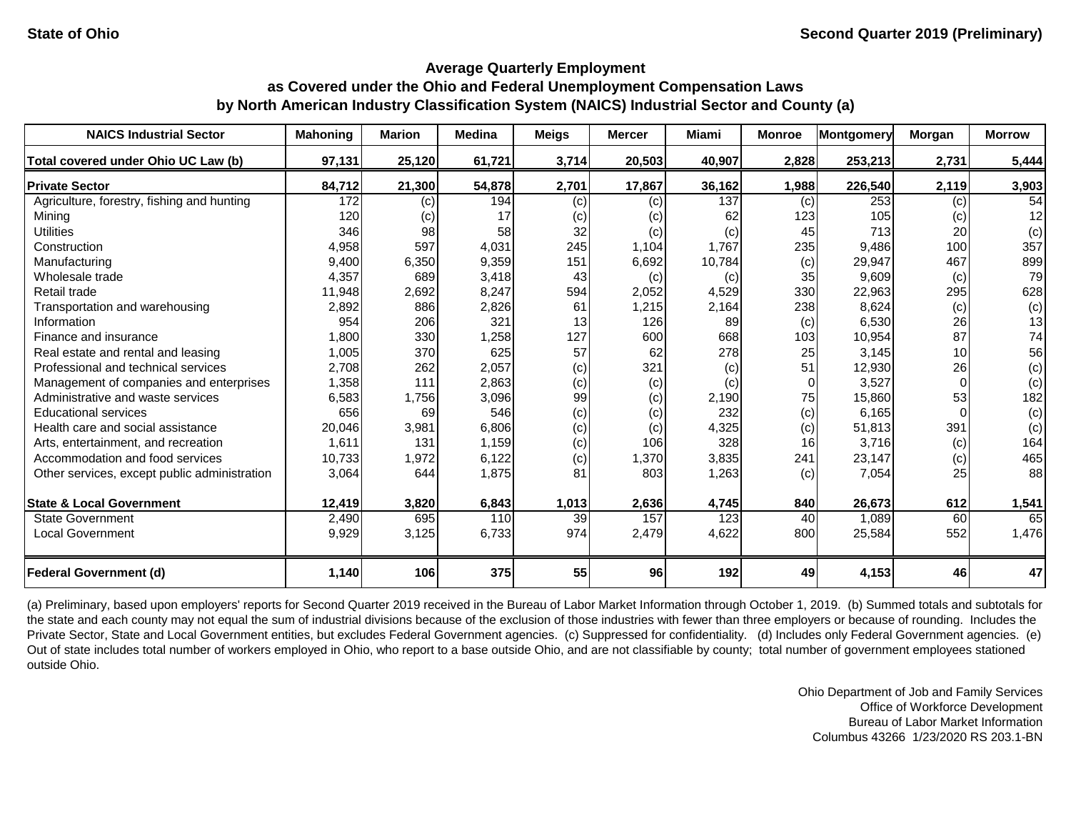| <b>NAICS Industrial Sector</b>               | <b>Mahoning</b> | <b>Marion</b> | <b>Medina</b> | <b>Meigs</b> | <b>Mercer</b> | <b>Miami</b> | <b>Monroe</b> | Montgomery | <b>Morgan</b>   | <b>Morrow</b> |
|----------------------------------------------|-----------------|---------------|---------------|--------------|---------------|--------------|---------------|------------|-----------------|---------------|
| Total covered under Ohio UC Law (b)          | 97,131          | 25,120        | 61,721        | 3,714        | 20,503        | 40,907       | 2,828         | 253,213    | 2,731           | 5,444         |
| <b>Private Sector</b>                        | 84,712          | 21,300        | 54,878        | 2,701        | 17,867        | 36,162       | 1,988         | 226,540    | 2,119           | 3,903         |
| Agriculture, forestry, fishing and hunting   | 172             | (c)           | 194           | (c)          | (c)           | 137          | (c)           | 253        | (c)             | 54            |
| Mining                                       | 120             | (C)           | 17            | (c)          | (c)           | 62           | 123           | 105        | (c)             | 12            |
| <b>Utilities</b>                             | 346             | 98            | 58            | 32           | (c)           | (c)          | 45            | 713        | 20              | (c)           |
| Construction                                 | 4,958           | 597           | 4,031         | 245          | 1,104         | 1,767        | 235           | 9,486      | 100             | 357           |
| Manufacturing                                | 9,400           | 6,350         | 9,359         | 151          | 6,692         | 10,784       | (c)           | 29,947     | 467             | 899           |
| Wholesale trade                              | 4,357           | 689           | 3,418         | 43           | (c)           | (c)          | 35            | 9,609      | (c)             | 79            |
| Retail trade                                 | 11,948          | 2,692         | 8,247         | 594          | 2,052         | 4,529        | 330           | 22,963     | 295             | 628           |
| Transportation and warehousing               | 2,892           | 886           | 2,826         | 61           | 1,215         | 2,164        | 238           | 8,624      | (c)             | (c)           |
| Information                                  | 954             | 206           | 321           | 13           | 126           | 89           | (c)           | 6,530      | 26              | 13            |
| Finance and insurance                        | 1,800           | 330           | 1,258         | 127          | 600           | 668          | 103           | 10,954     | 87              | 74            |
| Real estate and rental and leasing           | 1,005           | 370           | 625           | 57           | 62            | 278          | 25            | 3,145      | 10 <sup>1</sup> | 56            |
| Professional and technical services          | 2,708           | 262           | 2,057         | (c)          | 321           | (c)          | 51            | 12,930     | 26              | (c)           |
| Management of companies and enterprises      | 1,358           | 111           | 2,863         | (c)          | (c)           | (c)          | $\Omega$      | 3,527      |                 | (c)           |
| Administrative and waste services            | 6,583           | 1,756         | 3,096         | 99           | (c)           | 2,190        | 75            | 15,860     | 53              | 182           |
| <b>Educational services</b>                  | 656             | 69            | 546           | (c)          | (c)           | 232          | (c)           | 6,165      |                 | (c)           |
| Health care and social assistance            | 20,046          | 3,981         | 6,806         | (c)          | (c)           | 4,325        | (c)           | 51,813     | 391             | (c)           |
| Arts, entertainment, and recreation          | 1,611           | 131           | 1,159         | (c)          | 106           | 328          | 16            | 3,716      | (c)             | 164           |
| Accommodation and food services              | 10,733          | 1,972         | 6,122         | (c)          | 1,370         | 3,835        | 241           | 23,147     | (c)             | 465           |
| Other services, except public administration | 3,064           | 644           | 1,875         | 81           | 803           | 1,263        | (c)           | 7,054      | 25              | 88            |
| <b>State &amp; Local Government</b>          | 12,419          | 3,820         | 6,843         | 1,013        | 2,636         | 4,745        | 840           | 26,673     | 612             | 1,541         |
| <b>State Government</b>                      | 2,490           | 695           | 110           | 39           | 157           | 123          | 40            | 1,089      | 60              | 65            |
| <b>Local Government</b>                      | 9,929           | 3,125         | 6,733         | 974          | 2,479         | 4,622        | 800           | 25,584     | 552             | 1,476         |
| <b>Federal Government (d)</b>                | 1,140           | 106           | 375           | 55           | 96            | 192          | 49            | 4,153      | 46              | 47            |

(a) Preliminary, based upon employers' reports for Second Quarter 2019 received in the Bureau of Labor Market Information through October 1, 2019. (b) Summed totals and subtotals for the state and each county may not equal the sum of industrial divisions because of the exclusion of those industries with fewer than three employers or because of rounding. Includes the Private Sector, State and Local Government entities, but excludes Federal Government agencies. (c) Suppressed for confidentiality. (d) Includes only Federal Government agencies. (e) Out of state includes total number of workers employed in Ohio, who report to a base outside Ohio, and are not classifiable by county; total number of government employees stationed outside Ohio.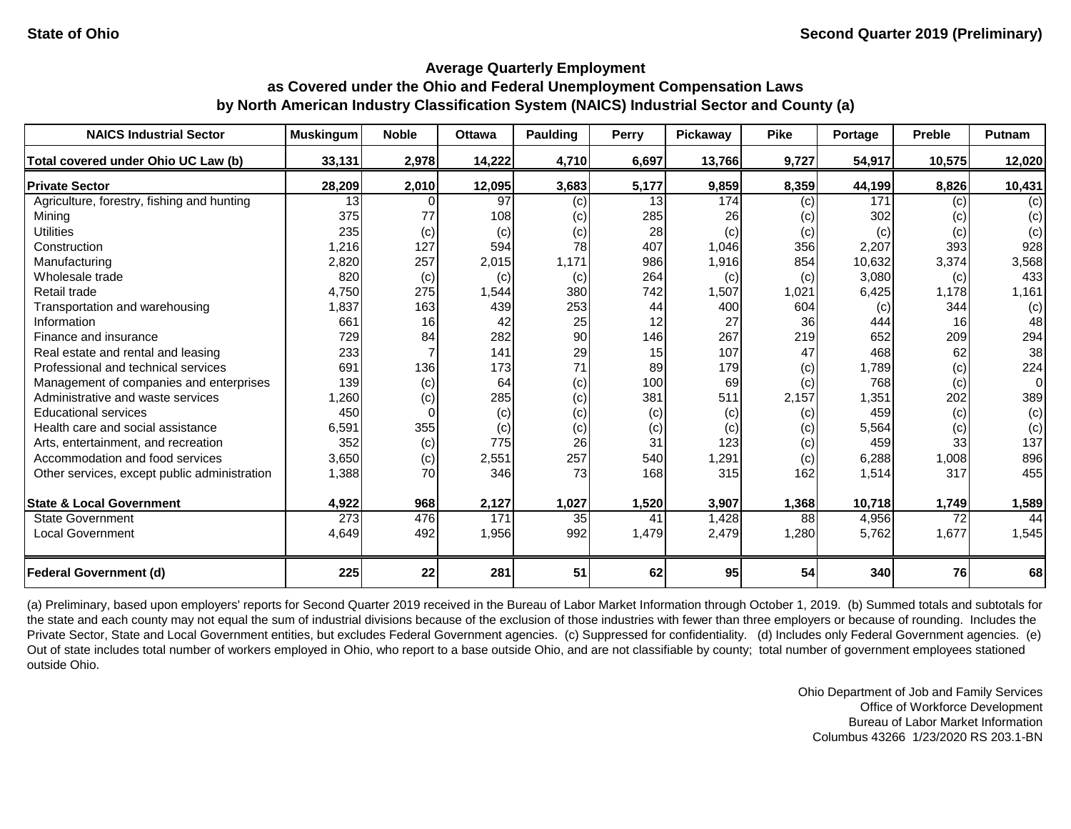| <b>NAICS Industrial Sector</b>               | <b>Muskingum</b> | <b>Noble</b> | <b>Ottawa</b> | <b>Paulding</b> | Perry | Pickaway | <b>Pike</b> | Portage | <b>Preble</b> | Putnam |
|----------------------------------------------|------------------|--------------|---------------|-----------------|-------|----------|-------------|---------|---------------|--------|
| Total covered under Ohio UC Law (b)          | 33,131           | 2,978        | 14,222        | 4,710           | 6,697 | 13,766   | 9,727       | 54,917  | 10,575        | 12,020 |
| <b>Private Sector</b>                        | 28,209           | 2,010        | 12,095        | 3,683           | 5,177 | 9,859    | 8,359       | 44,199  | 8,826         | 10,431 |
| Agriculture, forestry, fishing and hunting   | 13               |              | 97            | (c)             | 13    | 174      | (c)         | 171     | (c)           | (c)    |
| Mining                                       | 375              | 77           | 108           | (c)             | 285   | 26       | (c)         | 302     | (c)           | (c)    |
| <b>Utilities</b>                             | 235              | (c)          | (c)           | (c)             | 28    | (c)      | (c)         | (c)     | (c)           | (c)    |
| Construction                                 | 1,216            | 127          | 594           | 78              | 407   | 1,046    | 356         | 2,207   | 393           | 928    |
| Manufacturing                                | 2,820            | 257          | 2,015         | 1,171           | 986   | 1,916    | 854         | 10,632  | 3,374         | 3,568  |
| Wholesale trade                              | 820              | (c)          | (c)           | (c)             | 264   | (c)      | (c)         | 3,080   | (c)           | 433    |
| Retail trade                                 | 4,750            | 275          | 1,544         | 380             | 742   | 1,507    | 1,021       | 6,425   | 1,178         | 1,161  |
| Transportation and warehousing               | 1,837            | 163          | 439           | 253             | 44    | 400      | 604         | (c)     | 344           | (c)    |
| Information                                  | 661              | 16           | 42            | 25              | 12    | 27       | 36          | 444     | 16            | 48     |
| Finance and insurance                        | 729              | 84           | 282           | 90              | 146   | 267      | 219         | 652     | 209           | 294    |
| Real estate and rental and leasing           | 233              |              | 141           | 29              | 15    | 107      | 47          | 468     | 62            | 38     |
| Professional and technical services          | 691              | 136          | 173           | 71              | 89    | 179      | (c)         | 1,789   | (c)           | 224    |
| Management of companies and enterprises      | 139              | (c)          | 64            | (c)             | 100   | 69       | (c)         | 768     | (c)           | 0      |
| Administrative and waste services            | 1,260            | (c)          | 285           | (c)             | 381   | 511      | 2,157       | 1,351   | 202           | 389    |
| <b>Educational services</b>                  | 450              |              | (c)           | (c)             | (c)   | (c)      | (c)         | 459     | (c)           | (c)    |
| Health care and social assistance            | 6,591            | 355          | (c)           | (c)             | (c)   | (c)      | (c)         | 5,564   | (c)           | (c)    |
| Arts, entertainment, and recreation          | 352              | (c)          | 775           | 26              | 31    | 123      | (c)         | 459     | 33            | 137    |
| Accommodation and food services              | 3,650            | (c)          | 2,551         | 257             | 540   | 1,291    | (c)         | 6,288   | 1,008         | 896    |
| Other services, except public administration | 1,388            | 70           | 346           | 73              | 168   | 315      | 162         | 1,514   | 317           | 455    |
| <b>State &amp; Local Government</b>          | 4,922            | 968          | 2,127         | 1,027           | 1,520 | 3,907    | 1,368       | 10,718  | 1,749         | 1,589  |
| <b>State Government</b>                      | $\overline{273}$ | 476          | 171           | 35              | 41    | 1,428    | 88          | 4,956   | 72            | 44     |
| <b>Local Government</b>                      | 4,649            | 492          | 1,956         | 992             | 1,479 | 2,479    | 1,280       | 5,762   | 1,677         | 1,545  |
| <b>Federal Government (d)</b>                | 225              | 22           | 281           | 51              | 62    | 95       | 54          | 340     | 76            | 68     |

(a) Preliminary, based upon employers' reports for Second Quarter 2019 received in the Bureau of Labor Market Information through October 1, 2019. (b) Summed totals and subtotals for the state and each county may not equal the sum of industrial divisions because of the exclusion of those industries with fewer than three employers or because of rounding. Includes the Private Sector, State and Local Government entities, but excludes Federal Government agencies. (c) Suppressed for confidentiality. (d) Includes only Federal Government agencies. (e) Out of state includes total number of workers employed in Ohio, who report to a base outside Ohio, and are not classifiable by county; total number of government employees stationed outside Ohio.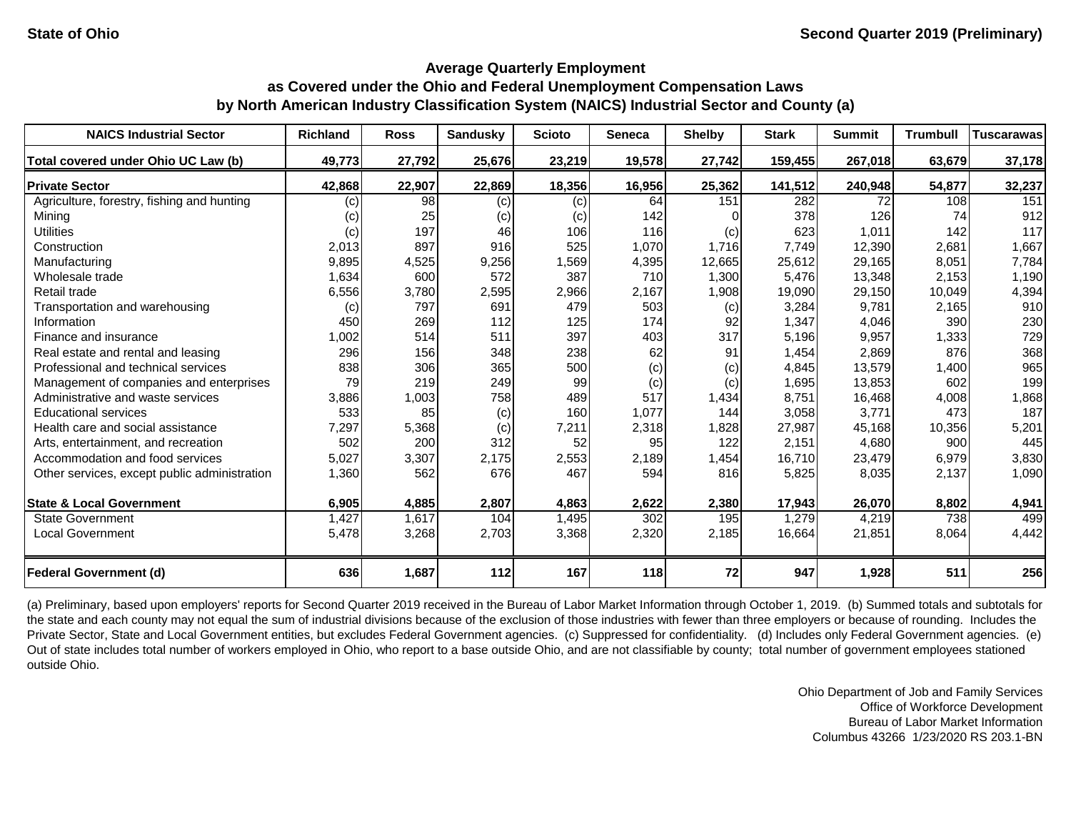| <b>NAICS Industrial Sector</b>               | <b>Richland</b> | <b>Ross</b> | <b>Sandusky</b> | <b>Scioto</b> | <b>Seneca</b> | <b>Shelby</b> | <b>Stark</b> | <b>Summit</b> | <b>Trumbull</b> | <b>Tuscarawas</b> |
|----------------------------------------------|-----------------|-------------|-----------------|---------------|---------------|---------------|--------------|---------------|-----------------|-------------------|
| Total covered under Ohio UC Law (b)          | 49,773          | 27,792      | 25,676          | 23,219        | 19,578        | 27,742        | 159,455      | 267,018       | 63,679          | 37,178            |
| <b>Private Sector</b>                        | 42,868          | 22,907      | 22,869          | 18,356        | 16,956        | 25,362        | 141,512      | 240,948       | 54,877          | 32,237            |
| Agriculture, forestry, fishing and hunting   | (c)             | 98          | (c)             | (c)           | 64            | 151           | 282          | 72            | 108             | 151               |
| Mining                                       | (c)             | 25          | (c)             | (c)           | 142           |               | 378          | 126           | 74              | 912               |
| <b>Utilities</b>                             | (c)             | 197         | 46              | 106           | 116           | (c)           | 623          | 1,011         | 142             | 117               |
| Construction                                 | 2,013           | 897         | 916             | 525           | 1,070         | 1,716         | 7,749        | 12,390        | 2,681           | 1,667             |
| Manufacturing                                | 9,895           | 4,525       | 9,256           | 1,569         | 4,395         | 12,665        | 25,612       | 29,165        | 8,051           | 7,784             |
| Wholesale trade                              | 1,634           | 600         | 572             | 387           | 710           | 1,300         | 5,476        | 13,348        | 2,153           | 1,190             |
| Retail trade                                 | 6,556           | 3,780       | 2,595           | 2,966         | 2,167         | 1,908         | 19,090       | 29,150        | 10,049          | 4,394             |
| Transportation and warehousing               | (c)             | 797         | 691             | 479           | 503           | (c)           | 3,284        | 9,781         | 2,165           | 910               |
| Information                                  | 450             | 269         | 112             | 125           | 174           | 92            | 1,347        | 4,046         | 390             | 230               |
| Finance and insurance                        | 1,002           | 514         | 511             | 397           | 403           | 317           | 5,196        | 9,957         | 1,333           | 729               |
| Real estate and rental and leasing           | 296             | 156         | 348             | 238           | 62            | 91            | 1,454        | 2,869         | 876             | 368               |
| Professional and technical services          | 838             | 306         | 365             | 500           | (c)           | (c)           | 4,845        | 13,579        | 1,400           | 965               |
| Management of companies and enterprises      | 79              | 219         | 249             | 99            | (c)           | (c)           | 1,695        | 13,853        | 602             | 199               |
| Administrative and waste services            | 3,886           | 1,003       | 758             | 489           | 517           | 1,434         | 8,751        | 16,468        | 4,008           | 1,868             |
| <b>Educational services</b>                  | 533             | 85          | (c)             | 160           | 1,077         | 144           | 3,058        | 3,771         | 473             | 187               |
| Health care and social assistance            | 7,297           | 5,368       | (c)             | 7,211         | 2,318         | 1,828         | 27,987       | 45,168        | 10,356          | 5,201             |
| Arts, entertainment, and recreation          | 502             | 200         | 312             | 52            | 95            | 122           | 2,151        | 4,680         | 900             | 445               |
| Accommodation and food services              | 5,027           | 3,307       | 2,175           | 2,553         | 2,189         | 1,454         | 16,710       | 23,479        | 6,979           | 3,830             |
| Other services, except public administration | 1,360           | 562         | 676             | 467           | 594           | 816           | 5,825        | 8,035         | 2,137           | 1,090             |
| <b>State &amp; Local Government</b>          | 6,905           | 4,885       | 2,807           | 4,863         | 2,622         | 2,380         | 17,943       | 26,070        | 8,802           | 4,941             |
| <b>State Government</b>                      | 1,427           | 1,617       | 104             | 1,495         | 302           | 195           | 1,279        | 4,219         | 738             | 499               |
| <b>Local Government</b>                      | 5,478           | 3,268       | 2,703           | 3,368         | 2,320         | 2,185         | 16,664       | 21,851        | 8,064           | 4,442             |
| <b>Federal Government (d)</b>                | 636             | 1,687       | 112             | 167           | 118           | 72            | 947          | 1,928         | 511             | 256               |

(a) Preliminary, based upon employers' reports for Second Quarter 2019 received in the Bureau of Labor Market Information through October 1, 2019. (b) Summed totals and subtotals for the state and each county may not equal the sum of industrial divisions because of the exclusion of those industries with fewer than three employers or because of rounding. Includes the Private Sector, State and Local Government entities, but excludes Federal Government agencies. (c) Suppressed for confidentiality. (d) Includes only Federal Government agencies. (e) Out of state includes total number of workers employed in Ohio, who report to a base outside Ohio, and are not classifiable by county; total number of government employees stationed outside Ohio.